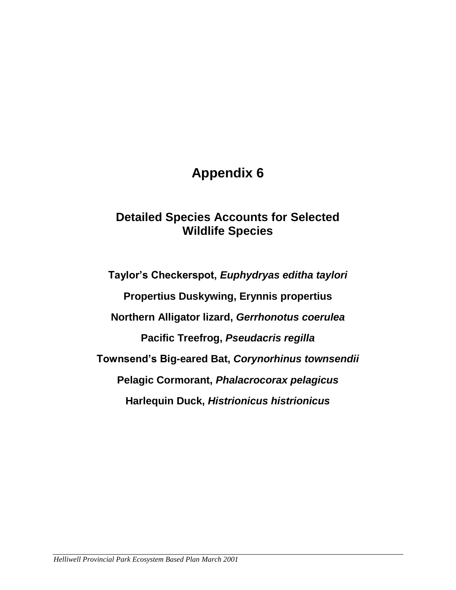# **Appendix 6**

# **Detailed Species Accounts for Selected Wildlife Species**

**Taylor's Checkerspot,** *Euphydryas editha taylori* **Propertius Duskywing, Erynnis propertius Northern Alligator lizard,** *Gerrhonotus coerulea* **Pacific Treefrog,** *Pseudacris regilla* **Townsend's Big-eared Bat,** *Corynorhinus townsendii* **Pelagic Cormorant,** *Phalacrocorax pelagicus* **Harlequin Duck,** *Histrionicus histrionicus*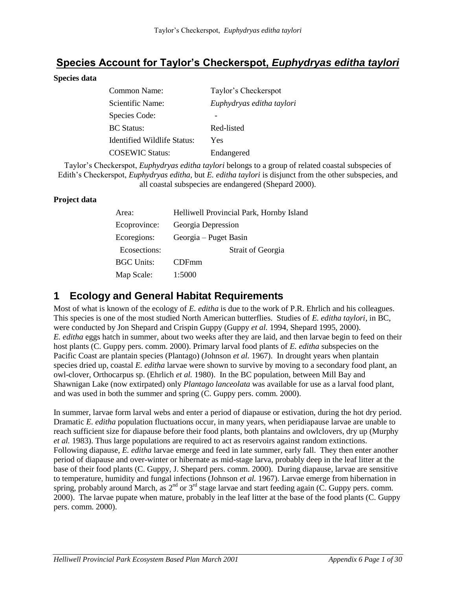# **Species Account for Taylor's Checkerspot,** *Euphydryas editha taylori*

#### **Species data**

| Common Name:                | Taylor's Checkerspot      |
|-----------------------------|---------------------------|
| Scientific Name:            | Euphydryas editha taylori |
| Species Code:               |                           |
| <b>BC</b> Status:           | Red-listed                |
| Identified Wildlife Status: | Yes                       |
| <b>COSEWIC Status:</b>      | Endangered                |

Taylor's Checkerspot, *Euphydryas editha taylori* belongs to a group of related coastal subspecies of Edith's Checkerspot, *Euphydryas editha,* but *E. editha taylori* is disjunct from the other subspecies, and all coastal subspecies are endangered (Shepard 2000).

#### **Project data**

| Area:             | Helliwell Provincial Park, Hornby Island |  |
|-------------------|------------------------------------------|--|
| Ecoprovince:      | Georgia Depression                       |  |
| Ecoregions:       | Georgia – Puget Basin                    |  |
| Ecosections:      | <b>Strait of Georgia</b>                 |  |
| <b>BGC Units:</b> | <b>CDFmm</b>                             |  |
| Map Scale:        | 1:5000                                   |  |

### **1 Ecology and General Habitat Requirements**

Most of what is known of the ecology of *E. editha* is due to the work of P.R. Ehrlich and his colleagues. This species is one of the most studied North American butterflies. Studies of *E. editha taylori*, in BC, were conducted by Jon Shepard and Crispin Guppy (Guppy *et al.* 1994, Shepard 1995, 2000). *E. editha* eggs hatch in summer, about two weeks after they are laid, and then larvae begin to feed on their host plants (C. Guppy pers. comm. 2000). Primary larval food plants of *E. editha* subspecies on the Pacific Coast are plantain species (Plantago) (Johnson *et al.* 1967). In drought years when plantain species dried up, coastal *E. editha* larvae were shown to survive by moving to a secondary food plant, an owl-clover, Orthocarpus sp. (Ehrlich *et al.* 1980). In the BC population, between Mill Bay and Shawnigan Lake (now extirpated) only *Plantago lanceolata* was available for use as a larval food plant, and was used in both the summer and spring (C. Guppy pers. comm. 2000).

In summer, larvae form larval webs and enter a period of diapause or estivation, during the hot dry period. Dramatic *E. editha* population fluctuations occur, in many years, when peridiapause larvae are unable to reach sufficient size for diapause before their food plants, both plantains and owlclovers, dry up (Murphy *et al.* 1983). Thus large populations are required to act as reservoirs against random extinctions*.* Following diapause, *E. editha* larvae emerge and feed in late summer, early fall. They then enter another period of diapause and over-winter or hibernate as mid-stage larva, probably deep in the leaf litter at the base of their food plants (C. Guppy, J. Shepard pers. comm. 2000). During diapause, larvae are sensitive to temperature, humidity and fungal infections (Johnson *et al.* 1967). Larvae emerge from hibernation in spring, probably around March, as 2<sup>nd</sup> or 3<sup>rd</sup> stage larvae and start feeding again (C. Guppy pers. comm. 2000). The larvae pupate when mature, probably in the leaf litter at the base of the food plants (C. Guppy pers. comm. 2000).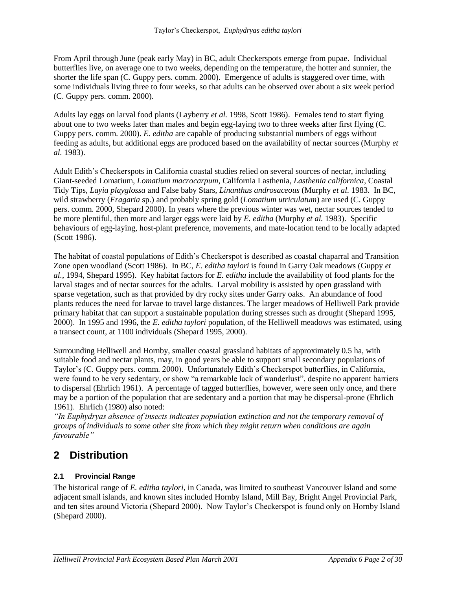From April through June (peak early May) in BC, adult Checkerspots emerge from pupae. Individual butterflies live, on average one to two weeks, depending on the temperature, the hotter and sunnier, the shorter the life span (C. Guppy pers. comm. 2000). Emergence of adults is staggered over time, with some individuals living three to four weeks, so that adults can be observed over about a six week period (C. Guppy pers. comm. 2000).

Adults lay eggs on larval food plants (Layberry *et al.* 1998, Scott 1986). Females tend to start flying about one to two weeks later than males and begin egg-laying two to three weeks after first flying (C. Guppy pers. comm. 2000). *E. editha* are capable of producing substantial numbers of eggs without feeding as adults, but additional eggs are produced based on the availability of nectar sources (Murphy *et al.* 1983).

Adult Edith's Checkerspots in California coastal studies relied on several sources of nectar, including Giant-seeded Lomatium, *Lomatium macrocarpum*, California Lasthenia, *Lasthenia californica*, Coastal Tidy Tips, *Layia playglossa* and False baby Stars, *Linanthus androsaceous* (Murphy *et al.* 1983. In BC, wild strawberry (*Fragaria* sp.) and probably spring gold (*Lomatium utriculatum*) are used (C. Guppy pers. comm. 2000, Shepard 2000). In years where the previous winter was wet, nectar sources tended to be more plentiful, then more and larger eggs were laid by *E. editha* (Murphy *et al.* 1983). Specific behaviours of egg-laying, host-plant preference, movements, and mate-location tend to be locally adapted (Scott 1986).

The habitat of coastal populations of Edith's Checkerspot is described as coastal chaparral and Transition Zone open woodland (Scott 1986). In BC, *E. editha taylori* is found in Garry Oak meadows (Guppy *et al.*, 1994, Shepard 1995). Key habitat factors for *E. editha* include the availability of food plants for the larval stages and of nectar sources for the adults. Larval mobility is assisted by open grassland with sparse vegetation, such as that provided by dry rocky sites under Garry oaks. An abundance of food plants reduces the need for larvae to travel large distances. The larger meadows of Helliwell Park provide primary habitat that can support a sustainable population during stresses such as drought (Shepard 1995, 2000). In 1995 and 1996, the *E. editha taylori* population, of the Helliwell meadows was estimated, using a transect count, at 1100 individuals (Shepard 1995, 2000).

Surrounding Helliwell and Hornby, smaller coastal grassland habitats of approximately 0.5 ha, with suitable food and nectar plants, may, in good years be able to support small secondary populations of Taylor's (C. Guppy pers. comm. 2000). Unfortunately Edith's Checkerspot butterflies, in California, were found to be very sedentary, or show "a remarkable lack of wanderlust", despite no apparent barriers to dispersal (Ehrlich 1961). A percentage of tagged butterflies, however, were seen only once, and there may be a portion of the population that are sedentary and a portion that may be dispersal-prone (Ehrlich 1961). Ehrlich (1980) also noted:

*"In Euphydryas absence of insects indicates population extinction and not the temporary removal of groups of individuals to some other site from which they might return when conditions are again favourable"*

# **2 Distribution**

#### **2.1 Provincial Range**

The historical range of *E. editha taylori*, in Canada, was limited to southeast Vancouver Island and some adjacent small islands, and known sites included Hornby Island, Mill Bay, Bright Angel Provincial Park, and ten sites around Victoria (Shepard 2000). Now Taylor's Checkerspot is found only on Hornby Island (Shepard 2000).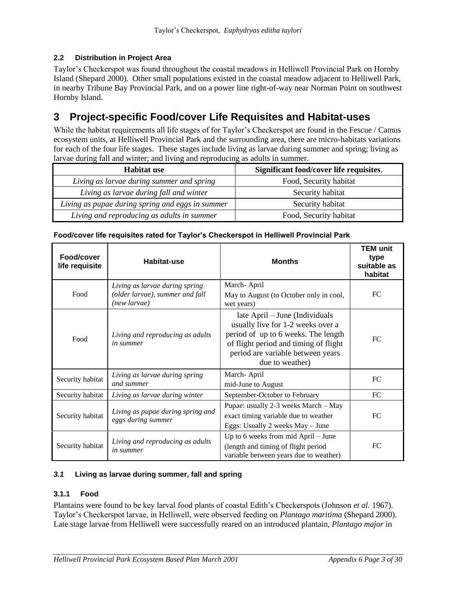#### **2.2 Distribution in Project Area**

Taylor's Checkerspot was found throughout the coastal meadows in Helliwell Provincial Park on Hornby Island (Shepard 2000). Other small populations existed in the coastal meadow adjacent to Helliwell Park, in nearby Tribune Bay Provincial Park, and on a power line right-of-way near Norman Point on southwest Hornby Island.

# **3 Project-specific Food/cover Life Requisites and Habitat-uses**

While the habitat requirements all life stages of for Taylor's Checkerspot are found in the Fescue / Camus ecosystem units, at Helliwell Provincial Park and the surrounding area, there are micro-habitats variations for each of the four life stages. These stages include living as larvae during summer and spring; living as larvae during fall and winter; and living and reproducing as adults in summer.

| <b>Habitat use</b>                               | Significant food/cover life requisites. |  |
|--------------------------------------------------|-----------------------------------------|--|
| Living as larvae during summer and spring        | Food, Security habitat                  |  |
| Living as larvae during fall and winter          | Security habitat                        |  |
| Living as pupae during spring and eggs in summer | Security habitat                        |  |
| Living and reproducing as adults in summer       | Food, Security habitat                  |  |

| Food/cover<br>life requisite                                                | Habitat-use                                                                       | <b>Months</b>                                                                                                                                                                                               | <b>TEM unit</b><br>type<br>suitable as<br>habitat |
|-----------------------------------------------------------------------------|-----------------------------------------------------------------------------------|-------------------------------------------------------------------------------------------------------------------------------------------------------------------------------------------------------------|---------------------------------------------------|
| Food                                                                        | Living as larvae during spring<br>(older larvae), summer and fall<br>(new larvae) | March-April<br>May to August (to October only in cool,<br>wet years)                                                                                                                                        | FC                                                |
| Food                                                                        | Living and reproducing as adults<br><i>in summer</i>                              | late April – June (Individuals<br>usually live for 1-2 weeks over a<br>period of up to 6 weeks. The length<br>of flight period and timing of flight<br>period are variable between years<br>due to weather) | FC                                                |
| Security habitat                                                            | Living as larvae during spring<br>and summer                                      | March-April<br>mid-June to August                                                                                                                                                                           | FC                                                |
| Security habitat<br>Living as larvae during winter                          |                                                                                   | September-October to February                                                                                                                                                                               | FC                                                |
| Living as pupae during spring and<br>Security habitat<br>eggs during summer |                                                                                   | Pupae: usually 2-3 weeks March - May<br>exact timing variable due to weather<br>Eggs: Usually 2 weeks May - June                                                                                            | FC                                                |
| Living and reproducing as adults<br>Security habitat<br><i>in summer</i>    |                                                                                   | Up to 6 weeks from mid April – June<br>(length and timing of flight period<br>variable between years due to weather)                                                                                        | FC                                                |

#### **Food/cover life requisites rated for Taylor's Checkerspot in Helliwell Provincial Park**

#### *3.1* **Living as larvae during summer, fall and spring**

#### **3.1.1 Food**

Plantains were found to be key larval food plants of coastal Edith's Checkerspots (Johnson *et al.* 1967). Taylor's Checkerspot larvae, in Helliwell, were observed feeding on *Plantago maritima* (Shepard 2000). Late stage larvae from Helliwell were successfully reared on an introduced plantain, *Plantago major* in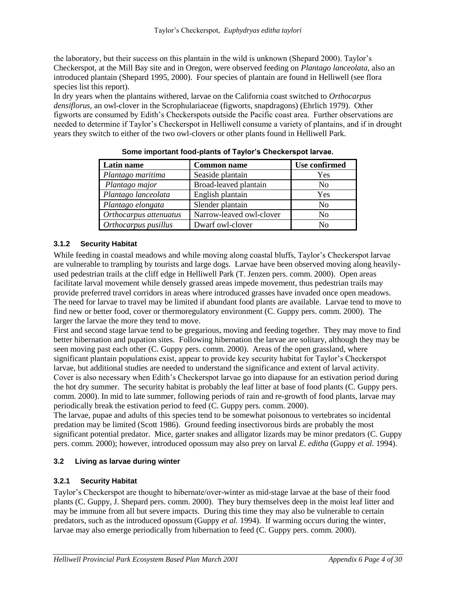the laboratory, but their success on this plantain in the wild is unknown (Shepard 2000). Taylor's Checkerspot, at the Mill Bay site and in Oregon, were observed feeding on *Plantago lanceolata*, also an introduced plantain (Shepard 1995, 2000). Four species of plantain are found in Helliwell (see flora species list this report).

In dry years when the plantains withered, larvae on the California coast switched to *Orthocarpus densiflorus*, an owl-clover in the Scrophulariaceae (figworts, snapdragons) (Ehrlich 1979). Other figworts are consumed by Edith's Checkerspots outside the Pacific coast area. Further observations are needed to determine if Taylor's Checkerspot in Helliwell consume a variety of plantains, and if in drought years they switch to either of the two owl-clovers or other plants found in Helliwell Park.

| Latin name             | <b>Common name</b>       | <b>Use confirmed</b> |
|------------------------|--------------------------|----------------------|
| Plantago maritima      | Seaside plantain         | Yes                  |
| Plantago major         | Broad-leaved plantain    | No                   |
| Plantago lanceolata    | English plantain         | Yes                  |
| Plantago elongata      | Slender plantain         | N <sub>0</sub>       |
| Orthocarpus attenuatus | Narrow-leaved owl-clover | N <sub>0</sub>       |
| Orthocarpus pusillus   | Dwarf owl-clover         | No                   |

**Some important food-plants of Taylor's Checkerspot larvae.**

#### **3.1.2 Security Habitat**

While feeding in coastal meadows and while moving along coastal bluffs, Taylor's Checkerspot larvae are vulnerable to trampling by tourists and large dogs. Larvae have been observed moving along heavilyused pedestrian trails at the cliff edge in Helliwell Park (T. Jenzen pers. comm. 2000). Open areas facilitate larval movement while densely grassed areas impede movement, thus pedestrian trails may provide preferred travel corridors in areas where introduced grasses have invaded once open meadows. The need for larvae to travel may be limited if abundant food plants are available. Larvae tend to move to find new or better food, cover or thermoregulatory environment (C. Guppy pers. comm. 2000). The larger the larvae the more they tend to move.

First and second stage larvae tend to be gregarious, moving and feeding together. They may move to find better hibernation and pupation sites. Following hibernation the larvae are solitary, although they may be seen moving past each other (C. Guppy pers. comm. 2000). Areas of the open grassland, where significant plantain populations exist, appear to provide key security habitat for Taylor's Checkerspot larvae, but additional studies are needed to understand the significance and extent of larval activity. Cover is also necessary when Edith's Checkerspot larvae go into diapause for an estivation period during the hot dry summer. The security habitat is probably the leaf litter at base of food plants (C. Guppy pers. comm. 2000). In mid to late summer, following periods of rain and re-growth of food plants, larvae may periodically break the estivation period to feed (C. Guppy pers. comm. 2000).

The larvae, pupae and adults of this species tend to be somewhat poisonous to vertebrates so incidental predation may be limited (Scott 1986). Ground feeding insectivorous birds are probably the most significant potential predator. Mice, garter snakes and alligator lizards may be minor predators (C. Guppy pers. comm. 2000); however, introduced opossum may also prey on larval *E. editha* (Guppy *et al.* 1994).

#### **3.2 Living as larvae during winter**

#### **3.2.1 Security Habitat**

Taylor's Checkerspot are thought to hibernate/over-winter as mid-stage larvae at the base of their food plants (C. Guppy, J. Shepard pers. comm. 2000). They bury themselves deep in the moist leaf litter and may be immune from all but severe impacts. During this time they may also be vulnerable to certain predators, such as the introduced opossum (Guppy *et al.* 1994). If warming occurs during the winter, larvae may also emerge periodically from hibernation to feed (C. Guppy pers. comm. 2000).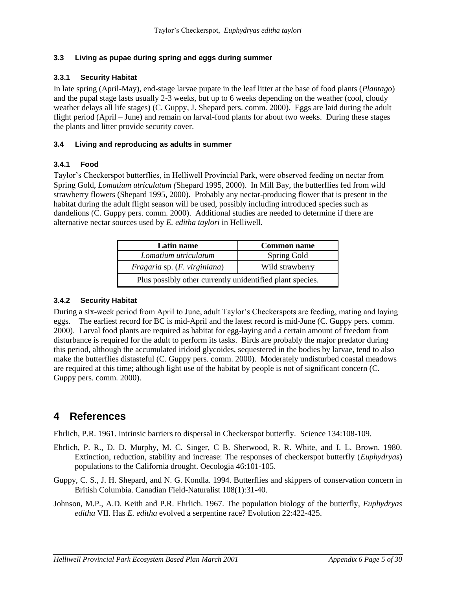#### **3.3 Living as pupae during spring and eggs during summer**

#### **3.3.1 Security Habitat**

In late spring (April-May), end-stage larvae pupate in the leaf litter at the base of food plants (*Plantago*) and the pupal stage lasts usually 2-3 weeks, but up to 6 weeks depending on the weather (cool, cloudy weather delays all life stages) (C. Guppy, J. Shepard pers. comm. 2000). Eggs are laid during the adult flight period (April – June) and remain on larval-food plants for about two weeks. During these stages the plants and litter provide security cover.

#### **3.4 Living and reproducing as adults in summer**

#### **3.4.1 Food**

Taylor's Checkerspot butterflies, in Helliwell Provincial Park, were observed feeding on nectar from Spring Gold, *Lomatium utriculatum (*Shepard 1995, 2000). In Mill Bay, the butterflies fed from wild strawberry flowers (Shepard 1995, 2000). Probably any nectar-producing flower that is present in the habitat during the adult flight season will be used, possibly including introduced species such as dandelions (C. Guppy pers. comm. 2000). Additional studies are needed to determine if there are alternative nectar sources used by *E. editha taylori* in Helliwell.

| Latin name                                                | <b>Common name</b> |  |
|-----------------------------------------------------------|--------------------|--|
| Lomatium utriculatum<br>Spring Gold                       |                    |  |
| Wild strawberry<br>Fragaria sp. (F. virginiana)           |                    |  |
| Plus possibly other currently unidentified plant species. |                    |  |

#### **3.4.2 Security Habitat**

During a six-week period from April to June, adult Taylor's Checkerspots are feeding, mating and laying eggs. The earliest record for BC is mid-April and the latest record is mid-June (C. Guppy pers. comm. 2000). Larval food plants are required as habitat for egg-laying and a certain amount of freedom from disturbance is required for the adult to perform its tasks. Birds are probably the major predator during this period, although the accumulated iridoid glycoides, sequestered in the bodies by larvae, tend to also make the butterflies distasteful (C. Guppy pers. comm. 2000). Moderately undisturbed coastal meadows are required at this time; although light use of the habitat by people is not of significant concern (C. Guppy pers. comm. 2000).

# **4 References**

Ehrlich, P.R. 1961. Intrinsic barriers to dispersal in Checkerspot butterfly. Science 134:108-109.

- Ehrlich, P. R., D. D. Murphy, M. C. Singer, C B. Sherwood, R. R. White, and I. L. Brown. 1980. Extinction, reduction, stability and increase: The responses of checkerspot butterfly (*Euphydryas*) populations to the California drought. Oecologia 46:101-105.
- Guppy, C. S., J. H. Shepard, and N. G. Kondla. 1994. Butterflies and skippers of conservation concern in British Columbia. Canadian Field-Naturalist 108(1):31-40.

Johnson, M.P., A.D. Keith and P.R. Ehrlich. 1967. The population biology of the butterfly, *Euphydryas editha* VII. Has *E. editha* evolved a serpentine race? Evolution 22:422-425.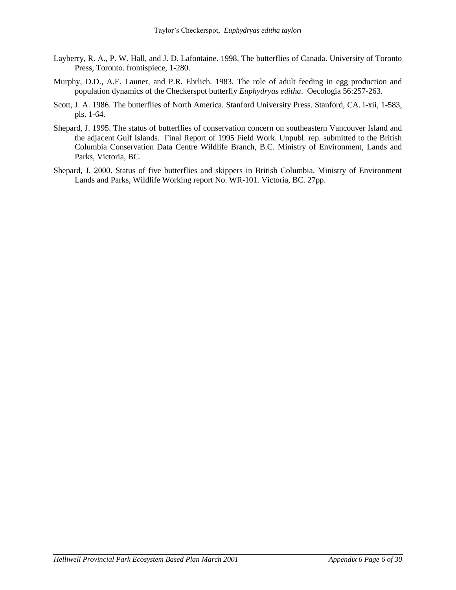- Layberry, R. A., P. W. Hall, and J. D. Lafontaine. 1998. The butterflies of Canada. University of Toronto Press, Toronto. frontispiece, 1-280.
- Murphy, D.D., A.E. Launer, and P.R. Ehrlich. 1983. The role of adult feeding in egg production and population dynamics of the Checkerspot butterfly *Euphydryas editha*. Oecologia 56:257-263.
- Scott, J. A. 1986. The butterflies of North America. Stanford University Press. Stanford, CA. i-xii, 1-583, pls. 1-64.
- Shepard, J. 1995. The status of butterflies of conservation concern on southeastern Vancouver Island and the adjacent Gulf Islands. Final Report of 1995 Field Work. Unpubl. rep. submitted to the British Columbia Conservation Data Centre Wildlife Branch, B.C. Ministry of Environment, Lands and Parks, Victoria, BC.
- Shepard, J. 2000. Status of five butterflies and skippers in British Columbia. Ministry of Environment Lands and Parks, Wildlife Working report No. WR-101. Victoria, BC. 27pp.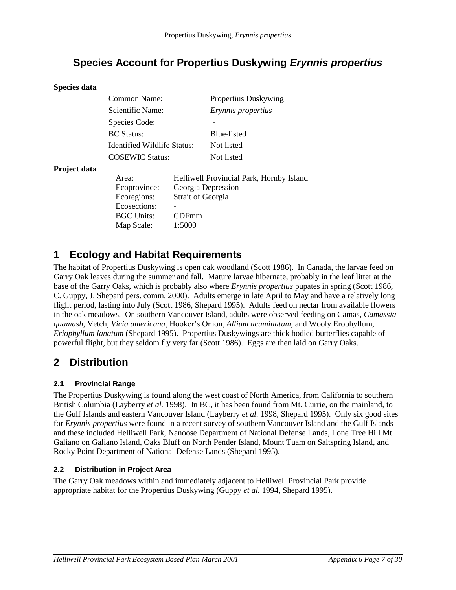# **Species Account for Propertius Duskywing** *Erynnis propertius*

#### **Species data**

|              | Common Name:                |                    | Propertius Duskywing                     |
|--------------|-----------------------------|--------------------|------------------------------------------|
|              | <b>Scientific Name:</b>     |                    | Erynnis propertius                       |
|              | Species Code:               |                    | -                                        |
|              | <b>BC</b> Status:           |                    | Blue-listed                              |
|              | Identified Wildlife Status: |                    | Not listed                               |
|              | <b>COSEWIC Status:</b>      |                    | Not listed                               |
| Project data |                             |                    |                                          |
|              | Area:                       |                    | Helliwell Provincial Park, Hornby Island |
|              | Ecoprovince:                | Georgia Depression |                                          |
|              | Ecoregions:                 | Strait of Georgia  |                                          |
|              | Ecosections:                |                    |                                          |
|              | <b>BGC Units:</b>           | CDFmm              |                                          |
|              | Map Scale:                  | 1:5000             |                                          |

### **1 Ecology and Habitat Requirements**

The habitat of Propertius Duskywing is open oak woodland (Scott 1986). In Canada, the larvae feed on Garry Oak leaves during the summer and fall. Mature larvae hibernate, probably in the leaf litter at the base of the Garry Oaks, which is probably also where *Erynnis propertius* pupates in spring (Scott 1986, C. Guppy, J. Shepard pers. comm. 2000). Adults emerge in late April to May and have a relatively long flight period, lasting into July (Scott 1986, Shepard 1995). Adults feed on nectar from available flowers in the oak meadows. On southern Vancouver Island, adults were observed feeding on Camas, *Camassia quamash*, Vetch*, Vicia americana*, Hooker's Onion, *Allium acuminatum*, and Wooly Erophyllum, *Eriophyllum lanatum* (Shepard 1995). Propertius Duskywings are thick bodied butterflies capable of powerful flight, but they seldom fly very far (Scott 1986). Eggs are then laid on Garry Oaks.

# **2 Distribution**

#### **2.1 Provincial Range**

The Propertius Duskywing is found along the west coast of North America, from California to southern British Columbia (Layberry *et al.* 1998). In BC, it has been found from Mt. Currie, on the mainland, to the Gulf Islands and eastern Vancouver Island (Layberry *et al.* 1998, Shepard 1995). Only six good sites for *Erynnis propertius* were found in a recent survey of southern Vancouver Island and the Gulf Islands and these included Helliwell Park, Nanoose Department of National Defense Lands, Lone Tree Hill Mt. Galiano on Galiano Island, Oaks Bluff on North Pender Island, Mount Tuam on Saltspring Island, and Rocky Point Department of National Defense Lands (Shepard 1995).

#### **2.2 Distribution in Project Area**

The Garry Oak meadows within and immediately adjacent to Helliwell Provincial Park provide appropriate habitat for the Propertius Duskywing (Guppy *et al.* 1994, Shepard 1995).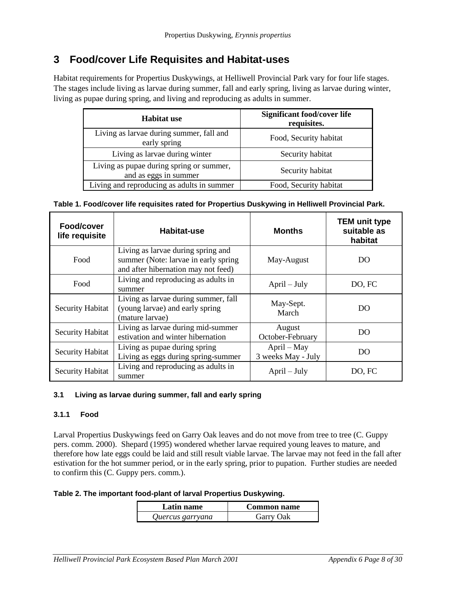# **3 Food/cover Life Requisites and Habitat-uses**

Habitat requirements for Propertius Duskywings, at Helliwell Provincial Park vary for four life stages. The stages include living as larvae during summer, fall and early spring, living as larvae during winter, living as pupae during spring, and living and reproducing as adults in summer.

| <b>Habitat use</b>                                                | <b>Significant food/cover life</b><br>requisites. |
|-------------------------------------------------------------------|---------------------------------------------------|
| Living as larvae during summer, fall and<br>early spring          | Food, Security habitat                            |
| Living as larvae during winter                                    | Security habitat                                  |
| Living as pupae during spring or summer,<br>and as eggs in summer | Security habitat                                  |
| Living and reproducing as adults in summer                        | Food, Security habitat                            |

| Table 1. Food/cover life requisites rated for Propertius Duskywing in Helliwell Provincial Park. |
|--------------------------------------------------------------------------------------------------|
|--------------------------------------------------------------------------------------------------|

| Food/cover<br>life requisite | Habitat-use                                                                                                        | <b>Months</b>                     | <b>TEM unit type</b><br>suitable as<br>habitat |
|------------------------------|--------------------------------------------------------------------------------------------------------------------|-----------------------------------|------------------------------------------------|
| Food                         | Living as larvae during spring and<br>summer (Note: larvae in early spring)<br>and after hibernation may not feed) | May-August                        | DO                                             |
| Food                         | Living and reproducing as adults in<br>summer                                                                      | $April - July$                    | DO, FC                                         |
| <b>Security Habitat</b>      | Living as larvae during summer, fall<br>(young larvae) and early spring<br>(mature larvae)                         | May-Sept.<br>March                | DO                                             |
| <b>Security Habitat</b>      | Living as larvae during mid-summer<br>estivation and winter hibernation                                            | August<br>October-February        | DO                                             |
| Security Habitat             | Living as pupae during spring<br>Living as eggs during spring-summer                                               | April – May<br>3 weeks May - July | DO                                             |
| <b>Security Habitat</b>      | Living and reproducing as adults in<br>summer                                                                      | $April - July$                    | DO, FC                                         |

#### **3.1 Living as larvae during summer, fall and early spring**

#### **3.1.1 Food**

Larval Propertius Duskywings feed on Garry Oak leaves and do not move from tree to tree (C. Guppy pers. comm. 2000). Shepard (1995) wondered whether larvae required young leaves to mature, and therefore how late eggs could be laid and still result viable larvae. The larvae may not feed in the fall after estivation for the hot summer period, or in the early spring, prior to pupation. Further studies are needed to confirm this (C. Guppy pers. comm.).

#### **Table 2. The important food-plant of larval Propertius Duskywing.**

| Latin name       | <b>Common name</b> |
|------------------|--------------------|
| Quercus garryana | Garry Oak          |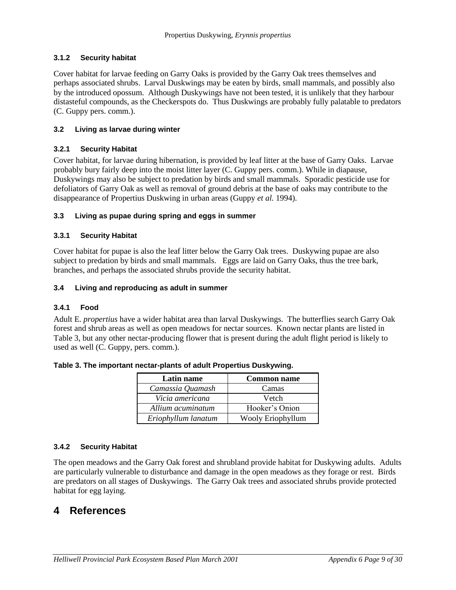#### **3.1.2 Security habitat**

Cover habitat for larvae feeding on Garry Oaks is provided by the Garry Oak trees themselves and perhaps associated shrubs. Larval Duskwings may be eaten by birds, small mammals, and possibly also by the introduced opossum. Although Duskywings have not been tested, it is unlikely that they harbour distasteful compounds, as the Checkerspots do. Thus Duskwings are probably fully palatable to predators (C. Guppy pers. comm.).

#### **3.2 Living as larvae during winter**

#### **3.2.1 Security Habitat**

Cover habitat, for larvae during hibernation, is provided by leaf litter at the base of Garry Oaks. Larvae probably bury fairly deep into the moist litter layer (C. Guppy pers. comm.). While in diapause, Duskywings may also be subject to predation by birds and small mammals. Sporadic pesticide use for defoliators of Garry Oak as well as removal of ground debris at the base of oaks may contribute to the disappearance of Propertius Duskwing in urban areas (Guppy *et al.* 1994).

#### **3.3 Living as pupae during spring and eggs in summer**

#### **3.3.1 Security Habitat**

Cover habitat for pupae is also the leaf litter below the Garry Oak trees. Duskywing pupae are also subject to predation by birds and small mammals. Eggs are laid on Garry Oaks, thus the tree bark, branches, and perhaps the associated shrubs provide the security habitat.

#### **3.4 Living and reproducing as adult in summer**

#### **3.4.1 Food**

Adult E. *propertius* have a wider habitat area than larval Duskywings. The butterflies search Garry Oak forest and shrub areas as well as open meadows for nectar sources. Known nectar plants are listed in Table 3, but any other nectar-producing flower that is present during the adult flight period is likely to used as well (C. Guppy, pers. comm.).

| Latin name          | <b>Common name</b> |
|---------------------|--------------------|
| Camassia Quamash    | Camas              |
| Vicia americana     | Vetch              |
| Allium acuminatum   | Hooker's Onion     |
| Eriophyllum lanatum | Wooly Eriophyllum  |

**Table 3. The important nectar-plants of adult Propertius Duskywing.**

#### **3.4.2 Security Habitat**

The open meadows and the Garry Oak forest and shrubland provide habitat for Duskywing adults. Adults are particularly vulnerable to disturbance and damage in the open meadows as they forage or rest. Birds are predators on all stages of Duskywings. The Garry Oak trees and associated shrubs provide protected habitat for egg laying.

### **4 References**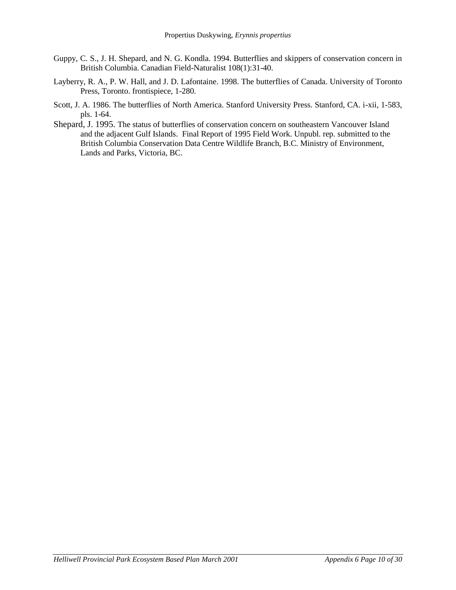- Guppy, C. S., J. H. Shepard, and N. G. Kondla. 1994. Butterflies and skippers of conservation concern in British Columbia. Canadian Field-Naturalist 108(1):31-40.
- Layberry, R. A., P. W. Hall, and J. D. Lafontaine. 1998. The butterflies of Canada. University of Toronto Press, Toronto. frontispiece, 1-280.
- Scott, J. A. 1986. The butterflies of North America. Stanford University Press. Stanford, CA. i-xii, 1-583, pls. 1-64.
- Shepard, J. 1995. The status of butterflies of conservation concern on southeastern Vancouver Island and the adjacent Gulf Islands. Final Report of 1995 Field Work. Unpubl. rep. submitted to the British Columbia Conservation Data Centre Wildlife Branch, B.C. Ministry of Environment, Lands and Parks, Victoria, BC.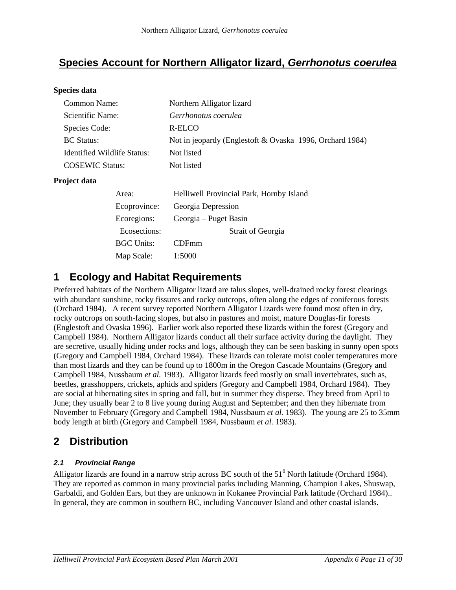# **Species Account for Northern Alligator lizard,** *Gerrhonotus coerulea*

#### **Species data**

| Common Name:                | Northern Alligator lizard                                |
|-----------------------------|----------------------------------------------------------|
| Scientific Name:            | Gerrhonotus coerulea                                     |
| Species Code:               | R-ELCO                                                   |
| <b>BC</b> Status:           | Not in jeopardy (Englestoft & Ovaska 1996, Orchard 1984) |
| Identified Wildlife Status: | Not listed                                               |
| <b>COSEWIC Status:</b>      | Not listed                                               |
|                             |                                                          |

#### **Project data**

| Area:             | Helliwell Provincial Park, Hornby Island |  |  |
|-------------------|------------------------------------------|--|--|
| Ecoprovince:      | Georgia Depression                       |  |  |
| Ecoregions:       | Georgia – Puget Basin                    |  |  |
| Ecosections:      | Strait of Georgia                        |  |  |
| <b>BGC Units:</b> | <b>CDFmm</b>                             |  |  |
| Map Scale:        | 1:5000                                   |  |  |

# **1 Ecology and Habitat Requirements**

Preferred habitats of the Northern Alligator lizard are talus slopes, well-drained rocky forest clearings with abundant sunshine, rocky fissures and rocky outcrops, often along the edges of coniferous forests (Orchard 1984). A recent survey reported Northern Alligator Lizards were found most often in dry, rocky outcrops on south-facing slopes, but also in pastures and moist, mature Douglas-fir forests (Englestoft and Ovaska 1996). Earlier work also reported these lizards within the forest (Gregory and Campbell 1984). Northern Alligator lizards conduct all their surface activity during the daylight. They are secretive, usually hiding under rocks and logs, although they can be seen basking in sunny open spots (Gregory and Campbell 1984, Orchard 1984). These lizards can tolerate moist cooler temperatures more than most lizards and they can be found up to 1800m in the Oregon Cascade Mountains (Gregory and Campbell 1984, Nussbaum *et al.* 1983). Alligator lizards feed mostly on small invertebrates, such as, beetles, grasshoppers, crickets, aphids and spiders (Gregory and Campbell 1984, Orchard 1984). They are social at hibernating sites in spring and fall, but in summer they disperse. They breed from April to June; they usually bear 2 to 8 live young during August and September; and then they hibernate from November to February (Gregory and Campbell 1984, Nussbaum *et al.* 1983). The young are 25 to 35mm body length at birth (Gregory and Campbell 1984, Nussbaum *et al.* 1983).

# **2 Distribution**

#### *2.1 Provincial Range*

Alligator lizards are found in a narrow strip across BC south of the  $51<sup>0</sup>$  North latitude (Orchard 1984). They are reported as common in many provincial parks including Manning, Champion Lakes, Shuswap, Garbaldi, and Golden Ears, but they are unknown in Kokanee Provincial Park latitude (Orchard 1984).. In general, they are common in southern BC, including Vancouver Island and other coastal islands.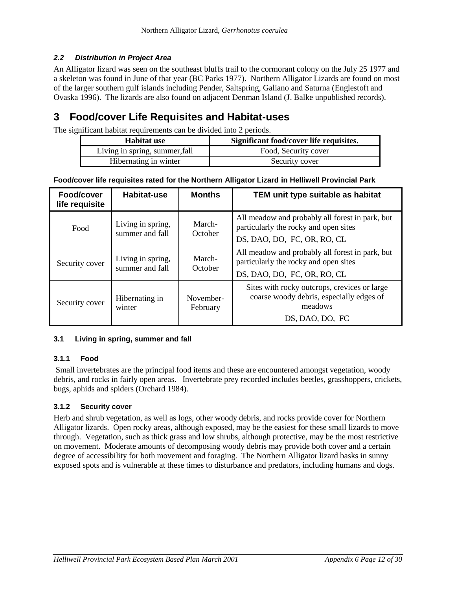#### *2.2 Distribution in Project Area*

An Alligator lizard was seen on the southeast bluffs trail to the cormorant colony on the July 25 1977 and a skeleton was found in June of that year (BC Parks 1977). Northern Alligator Lizards are found on most of the larger southern gulf islands including Pender, Saltspring, Galiano and Saturna (Englestoft and Ovaska 1996). The lizards are also found on adjacent Denman Island (J. Balke unpublished records).

# **3 Food/cover Life Requisites and Habitat-uses**

The significant habitat requirements can be divided into 2 periods.

| Habitat use                    | Significant food/cover life requisites. |
|--------------------------------|-----------------------------------------|
| Living in spring, summer, fall | Food, Security cover                    |
| Hibernating in winter          | Security cover                          |

**Food/cover life requisites rated for the Northern Alligator Lizard in Helliwell Provincial Park**

| Food/cover<br>life requisite | <b>Habitat-use</b>                   | <b>Months</b>         | TEM unit type suitable as habitat                                                                                       |
|------------------------------|--------------------------------------|-----------------------|-------------------------------------------------------------------------------------------------------------------------|
| Food                         | Living in spring,<br>summer and fall | March-<br>October     | All meadow and probably all forest in park, but<br>particularly the rocky and open sites<br>DS, DAO, DO, FC, OR, RO, CL |
| Security cover               | Living in spring,<br>summer and fall | March-<br>October     | All meadow and probably all forest in park, but<br>particularly the rocky and open sites<br>DS, DAO, DO, FC, OR, RO, CL |
| Security cover               | Hibernating in<br>winter             | November-<br>February | Sites with rocky outcrops, crevices or large<br>coarse woody debris, especially edges of<br>meadows<br>DS. DAO. DO. FC  |

#### **3.1 Living in spring, summer and fall**

#### **3.1.1 Food**

Small invertebrates are the principal food items and these are encountered amongst vegetation, woody debris, and rocks in fairly open areas. Invertebrate prey recorded includes beetles, grasshoppers, crickets, bugs, aphids and spiders (Orchard 1984).

#### **3.1.2 Security cover**

Herb and shrub vegetation, as well as logs, other woody debris, and rocks provide cover for Northern Alligator lizards. Open rocky areas, although exposed, may be the easiest for these small lizards to move through. Vegetation, such as thick grass and low shrubs, although protective, may be the most restrictive on movement. Moderate amounts of decomposing woody debris may provide both cover and a certain degree of accessibility for both movement and foraging. The Northern Alligator lizard basks in sunny exposed spots and is vulnerable at these times to disturbance and predators, including humans and dogs.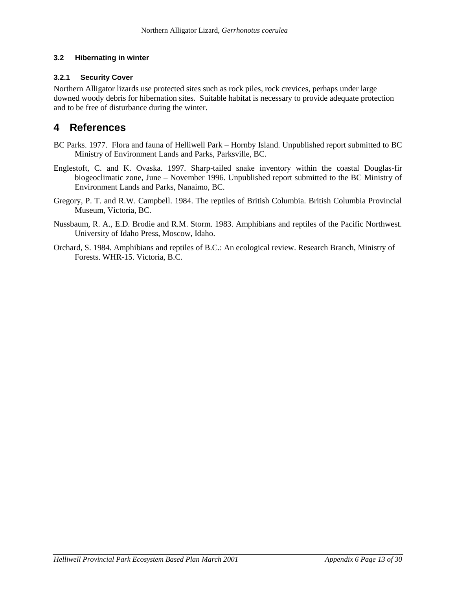#### **3.2 Hibernating in winter**

#### **3.2.1 Security Cover**

Northern Alligator lizards use protected sites such as rock piles, rock crevices, perhaps under large downed woody debris for hibernation sites. Suitable habitat is necessary to provide adequate protection and to be free of disturbance during the winter.

### **4 References**

- BC Parks. 1977. Flora and fauna of Helliwell Park Hornby Island. Unpublished report submitted to BC Ministry of Environment Lands and Parks, Parksville, BC.
- Englestoft, C. and K. Ovaska. 1997. Sharp-tailed snake inventory within the coastal Douglas-fir biogeoclimatic zone, June – November 1996. Unpublished report submitted to the BC Ministry of Environment Lands and Parks, Nanaimo, BC.
- Gregory, P. T. and R.W. Campbell. 1984. The reptiles of British Columbia. British Columbia Provincial Museum, Victoria, BC.
- Nussbaum, R. A., E.D. Brodie and R.M. Storm. 1983. Amphibians and reptiles of the Pacific Northwest. University of Idaho Press, Moscow, Idaho.
- Orchard, S. 1984. Amphibians and reptiles of B.C.: An ecological review. Research Branch, Ministry of Forests. WHR-15. Victoria, B.C.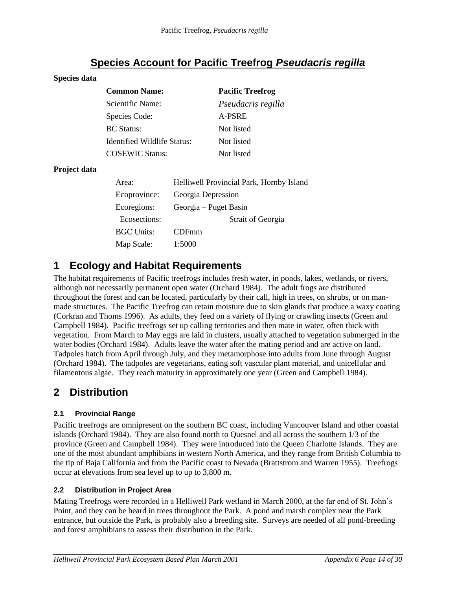# **Species Account for Pacific Treefrog** *Pseudacris regilla*

#### **Species data**

| <b>Common Name:</b>         | <b>Pacific Treefrog</b> |
|-----------------------------|-------------------------|
| Scientific Name:            | Pseudacris regilla      |
| Species Code:               | A-PSRE                  |
| <b>BC</b> Status:           | Not listed              |
| Identified Wildlife Status: | Not listed              |
| <b>COSEWIC Status:</b>      | Not listed              |

#### **Project data**

| Area:        | Helliwell Provincial Park, Hornby Island |  |  |
|--------------|------------------------------------------|--|--|
| Ecoprovince: | Georgia Depression                       |  |  |
| Ecoregions:  | Georgia – Puget Basin                    |  |  |
| Ecosections: | <b>Strait of Georgia</b>                 |  |  |
| BGC Units:   | CDFmm                                    |  |  |
| Map Scale:   | 1:5000                                   |  |  |

# **1 Ecology and Habitat Requirements**

The habitat requirements of Pacific treefrogs includes fresh water, in ponds, lakes, wetlands, or rivers, although not necessarily permanent open water (Orchard 1984). The adult frogs are distributed throughout the forest and can be located, particularly by their call, high in trees, on shrubs, or on manmade structures. The Pacific Treefrog can retain moisture due to skin glands that produce a waxy coating (Corkran and Thoms 1996). As adults, they feed on a variety of flying or crawling insects (Green and Campbell 1984). Pacific treefrogs set up calling territories and then mate in water, often thick with vegetation. From March to May eggs are laid in clusters, usually attached to vegetation submerged in the water bodies (Orchard 1984). Adults leave the water after the mating period and are active on land. Tadpoles hatch from April through July, and they metamorphose into adults from June through August (Orchard 1984). The tadpoles are vegetarians, eating soft vascular plant material, and unicellular and filamentous algae. They reach maturity in approximately one year (Green and Campbell 1984).

# **2 Distribution**

#### **2.1 Provincial Range**

Pacific treefrogs are omnipresent on the southern BC coast, including Vancouver Island and other coastal islands (Orchard 1984). They are also found north to Quesnel and all across the southern 1/3 of the province (Green and Campbell 1984). They were introduced into the Queen Charlotte Islands. They are one of the most abundant amphibians in western North America, and they range from British Columbia to the tip of Baja California and from the Pacific coast to Nevada (Brattstrom and Warren 1955). Treefrogs occur at elevations from sea level up to up to 3,800 m.

#### **2.2 Distribution in Project Area**

Mating Treefrogs were recorded in a Helliwell Park wetland in March 2000, at the far end of St. John's Point, and they can be heard in trees throughout the Park. A pond and marsh complex near the Park entrance, but outside the Park, is probably also a breeding site. Surveys are needed of all pond-breeding and forest amphibians to assess their distribution in the Park.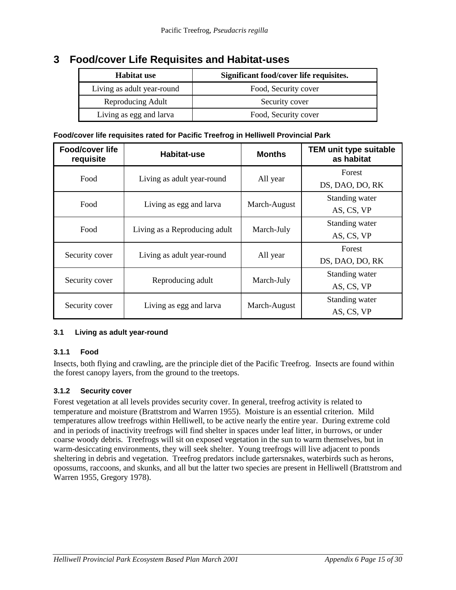### **3 Food/cover Life Requisites and Habitat-uses**

| <b>Habitat use</b>         | Significant food/cover life requisites. |  |
|----------------------------|-----------------------------------------|--|
| Living as adult year-round | Food, Security cover                    |  |
| Reproducing Adult          | Security cover                          |  |
| Living as egg and larva    | Food, Security cover                    |  |

#### **Food/cover life requisites rated for Pacific Treefrog in Helliwell Provincial Park**

| <b>Food/cover life</b><br>requisite | <b>Habitat-use</b>            | <b>Months</b> | TEM unit type suitable<br>as habitat |
|-------------------------------------|-------------------------------|---------------|--------------------------------------|
| Food                                |                               |               | Forest                               |
|                                     | Living as adult year-round    | All year      | DS, DAO, DO, RK                      |
| Food                                | Living as egg and larva       |               | Standing water                       |
|                                     |                               | March-August  | AS, CS, VP                           |
| Food                                | Living as a Reproducing adult |               | Standing water                       |
|                                     |                               | March-July    | AS, CS, VP                           |
|                                     |                               |               | Forest                               |
| Security cover                      | Living as adult year-round    | All year      | DS, DAO, DO, RK                      |
|                                     | Reproducing adult             | March-July    | Standing water                       |
| Security cover                      |                               |               | AS, CS, VP                           |
|                                     |                               |               | Standing water                       |
| Security cover                      | Living as egg and larva       | March-August  | AS, CS, VP                           |

#### **3.1 Living as adult year-round**

#### **3.1.1 Food**

Insects, both flying and crawling, are the principle diet of the Pacific Treefrog. Insects are found within the forest canopy layers, from the ground to the treetops.

#### **3.1.2 Security cover**

Forest vegetation at all levels provides security cover. In general, treefrog activity is related to temperature and moisture (Brattstrom and Warren 1955). Moisture is an essential criterion. Mild temperatures allow treefrogs within Helliwell, to be active nearly the entire year. During extreme cold and in periods of inactivity treefrogs will find shelter in spaces under leaf litter, in burrows, or under coarse woody debris. Treefrogs will sit on exposed vegetation in the sun to warm themselves, but in warm-desiccating environments, they will seek shelter. Young treefrogs will live adjacent to ponds sheltering in debris and vegetation. Treefrog predators include gartersnakes, waterbirds such as herons, opossums, raccoons, and skunks, and all but the latter two species are present in Helliwell (Brattstrom and Warren 1955, Gregory 1978).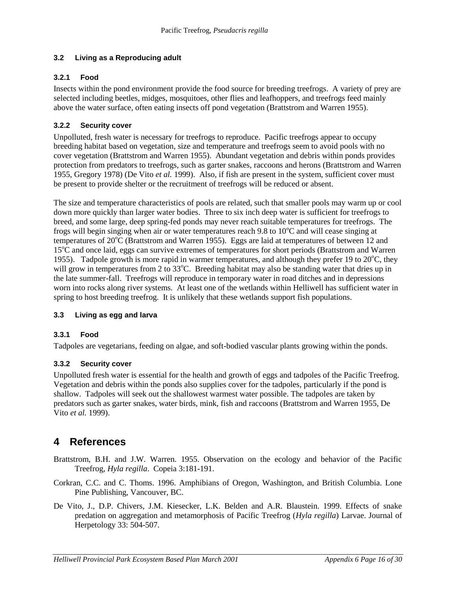#### **3.2 Living as a Reproducing adult**

#### **3.2.1 Food**

Insects within the pond environment provide the food source for breeding treefrogs. A variety of prey are selected including beetles, midges, mosquitoes, other flies and leafhoppers, and treefrogs feed mainly above the water surface, often eating insects off pond vegetation (Brattstrom and Warren 1955).

#### **3.2.2 Security cover**

Unpolluted, fresh water is necessary for treefrogs to reproduce. Pacific treefrogs appear to occupy breeding habitat based on vegetation, size and temperature and treefrogs seem to avoid pools with no cover vegetation (Brattstrom and Warren 1955). Abundant vegetation and debris within ponds provides protection from predators to treefrogs, such as garter snakes, raccoons and herons (Brattstrom and Warren 1955, Gregory 1978) (De Vito *et al.* 1999). Also, if fish are present in the system, sufficient cover must be present to provide shelter or the recruitment of treefrogs will be reduced or absent.

The size and temperature characteristics of pools are related, such that smaller pools may warm up or cool down more quickly than larger water bodies. Three to six inch deep water is sufficient for treefrogs to breed, and some large, deep spring-fed ponds may never reach suitable temperatures for treefrogs. The frogs will begin singing when air or water temperatures reach 9.8 to  $10^{\circ}$ C and will cease singing at temperatures of 20<sup>o</sup>C (Brattstrom and Warren 1955). Eggs are laid at temperatures of between 12 and 15<sup>o</sup>C and once laid, eggs can survive extremes of temperatures for short periods (Brattstrom and Warren 1955). Tadpole growth is more rapid in warmer temperatures, and although they prefer 19 to  $20^{\circ}$ C, they will grow in temperatures from 2 to  $33^{\circ}$ C. Breeding habitat may also be standing water that dries up in the late summer-fall. Treefrogs will reproduce in temporary water in road ditches and in depressions worn into rocks along river systems. At least one of the wetlands within Helliwell has sufficient water in spring to host breeding treefrog. It is unlikely that these wetlands support fish populations.

#### **3.3 Living as egg and larva**

#### **3.3.1 Food**

Tadpoles are vegetarians, feeding on algae, and soft-bodied vascular plants growing within the ponds.

#### **3.3.2 Security cover**

Unpolluted fresh water is essential for the health and growth of eggs and tadpoles of the Pacific Treefrog. Vegetation and debris within the ponds also supplies cover for the tadpoles, particularly if the pond is shallow. Tadpoles will seek out the shallowest warmest water possible. The tadpoles are taken by predators such as garter snakes, water birds, mink, fish and raccoons (Brattstrom and Warren 1955, De Vito *et al.* 1999).

# **4 References**

Brattstrom, B.H. and J.W. Warren. 1955. Observation on the ecology and behavior of the Pacific Treefrog*, Hyla regilla*. Copeia 3:181-191.

- Corkran, C.C. and C. Thoms. 1996. Amphibians of Oregon, Washington, and British Columbia. Lone Pine Publishing, Vancouver, BC.
- De Vito, J., D.P. Chivers, J.M. Kiesecker, L.K. Belden and A.R. Blaustein. 1999. Effects of snake predation on aggregation and metamorphosis of Pacific Treefrog (*Hyla regilla*) Larvae. Journal of Herpetology 33: 504-507.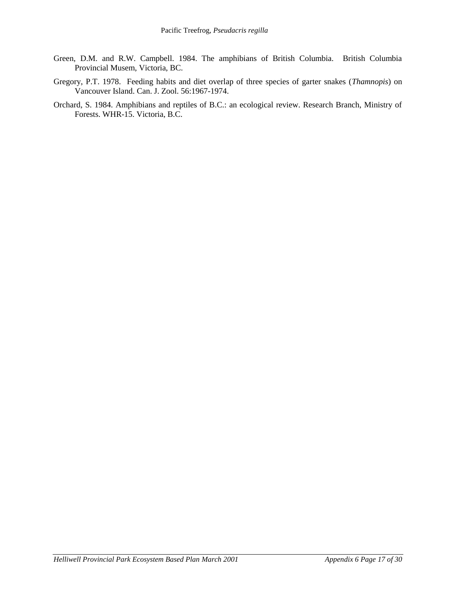- Green, D.M. and R.W. Campbell. 1984. The amphibians of British Columbia. British Columbia Provincial Musem, Victoria, BC.
- Gregory, P.T. 1978. Feeding habits and diet overlap of three species of garter snakes (*Thamnopis*) on Vancouver Island. Can. J. Zool. 56:1967-1974.
- Orchard, S. 1984. Amphibians and reptiles of B.C.: an ecological review. Research Branch, Ministry of Forests. WHR-15. Victoria, B.C.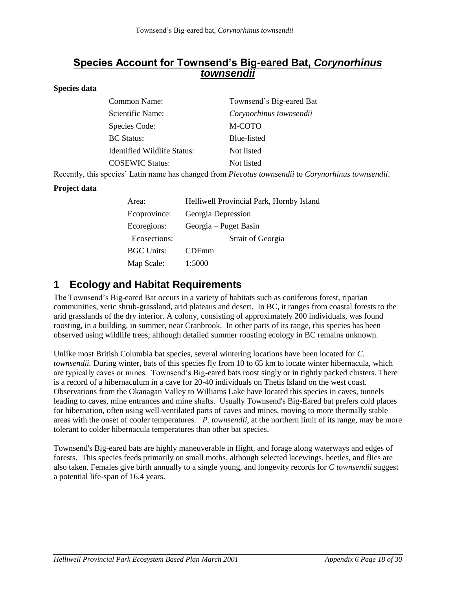### **Species Account for Townsend's Big-eared Bat,** *Corynorhinus townsendii*

#### **Species data**

| Common Name:                | Townsend's Big-eared Bat |
|-----------------------------|--------------------------|
| Scientific Name:            | Corynorhinus townsendii  |
| Species Code:               | M-COTO                   |
| <b>BC</b> Status:           | Blue-listed              |
| Identified Wildlife Status: | Not listed               |
| <b>COSEWIC Status:</b>      | Not listed               |
|                             |                          |

Recently, this species' Latin name has changed from *Plecotus townsendii* to *Corynorhinus townsendii*.

#### **Project data**

| Area:             | Helliwell Provincial Park, Hornby Island |  |  |
|-------------------|------------------------------------------|--|--|
| Ecoprovince:      | Georgia Depression                       |  |  |
| Ecoregions:       | Georgia – Puget Basin                    |  |  |
| Ecosections:      | <b>Strait of Georgia</b>                 |  |  |
| <b>BGC Units:</b> | <b>CDFmm</b>                             |  |  |
| Map Scale:        | 1:5000                                   |  |  |

# **1 Ecology and Habitat Requirements**

The Townsend's Big-eared Bat occurs in a variety of habitats such as coniferous forest, riparian communities, xeric shrub-grassland, arid plateaus and desert. In BC, it ranges from coastal forests to the arid grasslands of the dry interior. A colony, consisting of approximately 200 individuals, was found roosting, in a building, in summer, near Cranbrook. In other parts of its range, this species has been observed using wildlife trees; although detailed summer roosting ecology in BC remains unknown.

Unlike most British Columbia bat species, several wintering locations have been located for *C. townsendii.* During winter, bats of this species fly from 10 to 65 km to locate winter hibernacula, which are typically caves or mines. Townsend's Big-eared bats roost singly or in tightly packed clusters. There is a record of a hibernaculum in a cave for 20-40 individuals on Thetis Island on the west coast. Observations from the Okanagan Valley to Williams Lake have located this species in caves, tunnels leading to caves, mine entrances and mine shafts. Usually Townsend's Big-Eared bat prefers cold places for hibernation, often using well-ventilated parts of caves and mines, moving to more thermally stable areas with the onset of cooler temperatures. *P. townsendii,* at the northern limit of its range, may be more tolerant to colder hibernacula temperatures than other bat species.

Townsend's Big-eared bats are highly maneuverable in flight, and forage along waterways and edges of forests. This species feeds primarily on small moths, although selected lacewings, beetles, and flies are also taken. Females give birth annually to a single young, and longevity records for *C townsendii* suggest a potential life-span of 16.4 years.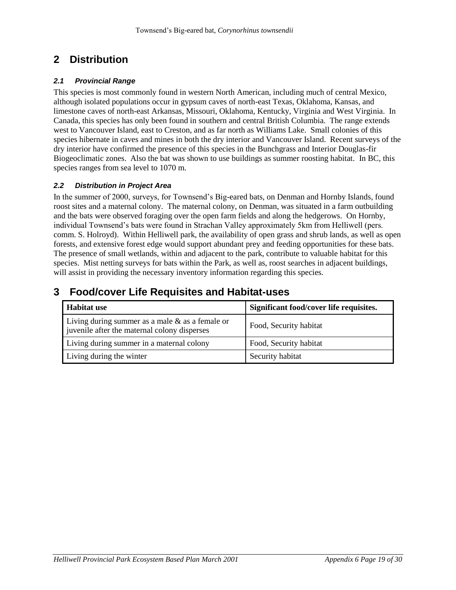# **2 Distribution**

#### *2.1 Provincial Range*

This species is most commonly found in western North American, including much of central Mexico, although isolated populations occur in gypsum caves of north-east Texas, Oklahoma, Kansas, and limestone caves of north-east Arkansas, Missouri, Oklahoma, Kentucky, Virginia and West Virginia. In Canada, this species has only been found in southern and central British Columbia. The range extends west to Vancouver Island, east to Creston, and as far north as Williams Lake. Small colonies of this species hibernate in caves and mines in both the dry interior and Vancouver Island. Recent surveys of the dry interior have confirmed the presence of this species in the Bunchgrass and Interior Douglas-fir Biogeoclimatic zones. Also the bat was shown to use buildings as summer roosting habitat. In BC, this species ranges from sea level to 1070 m.

#### *2.2 Distribution in Project Area*

In the summer of 2000, surveys, for Townsend's Big-eared bats, on Denman and Hornby Islands, found roost sites and a maternal colony. The maternal colony, on Denman, was situated in a farm outbuilding and the bats were observed foraging over the open farm fields and along the hedgerows. On Hornby, individual Townsend's bats were found in Strachan Valley approximately 5km from Helliwell (pers. comm. S. Holroyd). Within Helliwell park, the availability of open grass and shrub lands, as well as open forests, and extensive forest edge would support abundant prey and feeding opportunities for these bats. The presence of small wetlands, within and adjacent to the park, contribute to valuable habitat for this species. Mist netting surveys for bats within the Park, as well as, roost searches in adjacent buildings, will assist in providing the necessary inventory information regarding this species.

# **3 Food/cover Life Requisites and Habitat-uses**

| <b>Habitat use</b>                                                                                 | Significant food/cover life requisites. |
|----------------------------------------------------------------------------------------------------|-----------------------------------------|
| Living during summer as a male $\&$ as a female or<br>juvenile after the maternal colony disperses | Food, Security habitat                  |
| Living during summer in a maternal colony                                                          | Food, Security habitat                  |
| Living during the winter                                                                           | Security habitat                        |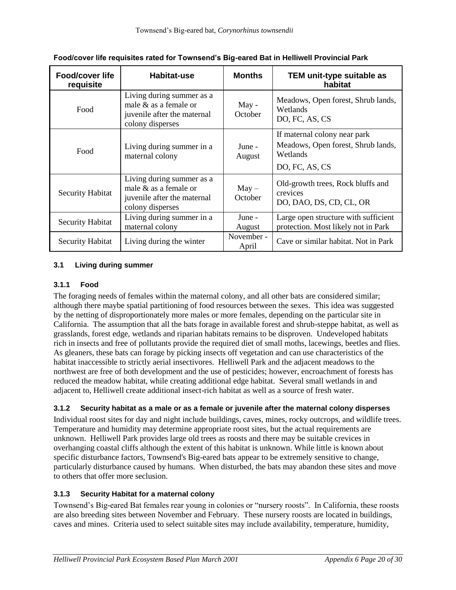| <b>Food/cover life</b><br>requisite | Habitat-use                                                                                              | <b>Months</b>       | TEM unit-type suitable as<br>habitat                                                             |
|-------------------------------------|----------------------------------------------------------------------------------------------------------|---------------------|--------------------------------------------------------------------------------------------------|
| Food                                | Living during summer as a<br>male $\&$ as a female or<br>juvenile after the maternal<br>colony disperses | $May -$<br>October  | Meadows, Open forest, Shrub lands,<br>Wetlands<br>DO, FC, AS, CS                                 |
| Food                                | Living during summer in a<br>maternal colony                                                             | June -<br>August    | If maternal colony near park<br>Meadows, Open forest, Shrub lands,<br>Wetlands<br>DO, FC, AS, CS |
| <b>Security Habitat</b>             | Living during summer as a<br>male & as a female or<br>juvenile after the maternal<br>colony disperses    | $May -$<br>October  | Old-growth trees, Rock bluffs and<br>crevices<br>DO, DAO, DS, CD, CL, OR                         |
| <b>Security Habitat</b>             | Living during summer in a<br>maternal colony                                                             | June -<br>August    | Large open structure with sufficient<br>protection. Most likely not in Park                      |
| <b>Security Habitat</b>             | Living during the winter                                                                                 | November -<br>April | Cave or similar habitat. Not in Park                                                             |

**Food/cover life requisites rated for Townsend's Big-eared Bat in Helliwell Provincial Park**

#### **3.1 Living during summer**

#### **3.1.1 Food**

The foraging needs of females within the maternal colony, and all other bats are considered similar; although there maybe spatial partitioning of food resources between the sexes. This idea was suggested by the netting of disproportionately more males or more females, depending on the particular site in California. The assumption that all the bats forage in available forest and shrub-steppe habitat, as well as grasslands, forest edge, wetlands and riparian habitats remains to be disproven. Undeveloped habitats rich in insects and free of pollutants provide the required diet of small moths, lacewings, beetles and flies. As gleaners, these bats can forage by picking insects off vegetation and can use characteristics of the habitat inaccessible to strictly aerial insectivores. Helliwell Park and the adjacent meadows to the northwest are free of both development and the use of pesticides; however, encroachment of forests has reduced the meadow habitat, while creating additional edge habitat. Several small wetlands in and adjacent to, Helliwell create additional insect-rich habitat as well as a source of fresh water.

#### **3.1.2 Security habitat as a male or as a female or juvenile after the maternal colony disperses**

Individual roost sites for day and night include buildings, caves, mines, rocky outcrops, and wildlife trees. Temperature and humidity may determine appropriate roost sites, but the actual requirements are unknown. Helliwell Park provides large old trees as roosts and there may be suitable crevices in overhanging coastal cliffs although the extent of this habitat is unknown. While little is known about specific disturbance factors, Townsend's Big-eared bats appear to be extremely sensitive to change, particularly disturbance caused by humans. When disturbed, the bats may abandon these sites and move to others that offer more seclusion.

#### **3.1.3 Security Habitat for a maternal colony**

Townsend's Big-eared Bat females rear young in colonies or "nursery roosts". In California, these roosts are also breeding sites between November and February. These nursery roosts are located in buildings, caves and mines. Criteria used to select suitable sites may include availability, temperature, humidity,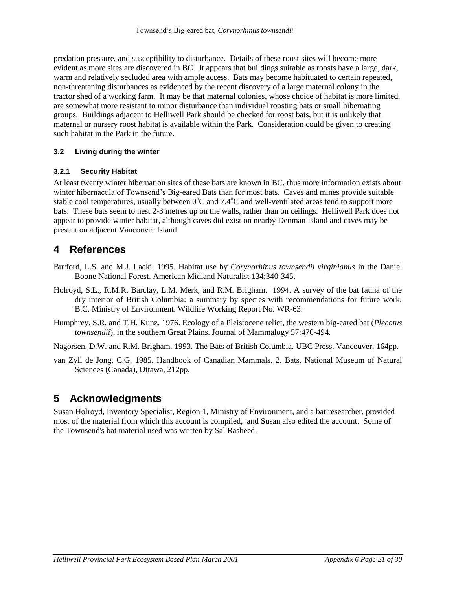predation pressure, and susceptibility to disturbance. Details of these roost sites will become more evident as more sites are discovered in BC. It appears that buildings suitable as roosts have a large, dark, warm and relatively secluded area with ample access. Bats may become habituated to certain repeated, non-threatening disturbances as evidenced by the recent discovery of a large maternal colony in the tractor shed of a working farm. It may be that maternal colonies, whose choice of habitat is more limited, are somewhat more resistant to minor disturbance than individual roosting bats or small hibernating groups. Buildings adjacent to Helliwell Park should be checked for roost bats, but it is unlikely that maternal or nursery roost habitat is available within the Park. Consideration could be given to creating such habitat in the Park in the future.

#### **3.2 Living during the winter**

#### **3.2.1 Security Habitat**

At least twenty winter hibernation sites of these bats are known in BC, thus more information exists about winter hibernacula of Townsend's Big-eared Bats than for most bats. Caves and mines provide suitable stable cool temperatures, usually between  $0^{\circ}$ C and  $7.4^{\circ}$ C and well-ventilated areas tend to support more bats. These bats seem to nest 2-3 metres up on the walls, rather than on ceilings. Helliwell Park does not appear to provide winter habitat, although caves did exist on nearby Denman Island and caves may be present on adjacent Vancouver Island.

# **4 References**

- Burford, L.S. and M.J. Lacki. 1995. Habitat use by *Corynorhinus townsendii virginianus* in the Daniel Boone National Forest. American Midland Naturalist 134:340-345.
- Holroyd, S.L., R.M.R. Barclay, L.M. Merk, and R.M. Brigham. 1994. A survey of the bat fauna of the dry interior of British Columbia: a summary by species with recommendations for future work. B.C. Ministry of Environment. Wildlife Working Report No. WR-63.
- Humphrey, S.R. and T.H. Kunz. 1976. Ecology of a Pleistocene relict, the western big-eared bat (*Plecotus townsendii*), in the southern Great Plains. Journal of Mammalogy 57:470-494.

Nagorsen, D.W. and R.M. Brigham. 1993. The Bats of British Columbia. UBC Press, Vancouver, 164pp.

van Zyll de Jong, C.G. 1985. Handbook of Canadian Mammals. 2. Bats. National Museum of Natural Sciences (Canada), Ottawa, 212pp.

# **5 Acknowledgments**

Susan Holroyd, Inventory Specialist, Region 1, Ministry of Environment, and a bat researcher, provided most of the material from which this account is compiled, and Susan also edited the account. Some of the Townsend's bat material used was written by Sal Rasheed.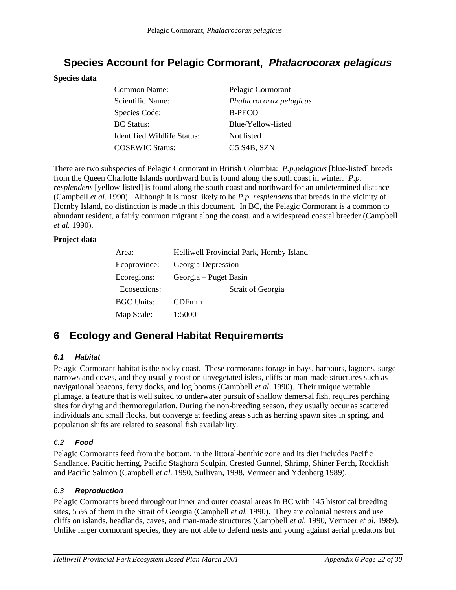# **Species Account for Pelagic Cormorant,** *Phalacrocorax pelagicus*

#### **Species data**

| Common Name:                | Pelagic Cormorant       |
|-----------------------------|-------------------------|
| Scientific Name:            | Phalacrocorax pelagicus |
| Species Code:               | <b>B-PECO</b>           |
| <b>BC</b> Status:           | Blue/Yellow-listed      |
| Identified Wildlife Status: | Not listed              |
| <b>COSEWIC Status:</b>      | G5 S4B, SZN             |

There are two subspecies of Pelagic Cormorant in British Columbia: *P.p.pelagicus* [blue-listed] breeds from the Queen Charlotte Islands northward but is found along the south coast in winter. *P.p. resplendens* [yellow-listed] is found along the south coast and northward for an undetermined distance (Campbell *et al.* 1990). Although it is most likely to be *P.p. resplendens* that breeds in the vicinity of Hornby Island, no distinction is made in this document. In BC, the Pelagic Cormorant is a common to abundant resident, a fairly common migrant along the coast, and a widespread coastal breeder (Campbell *et al.* 1990).

#### **Project data**

| Area:             | Helliwell Provincial Park, Hornby Island |  |  |  |  |  |
|-------------------|------------------------------------------|--|--|--|--|--|
| Ecoprovince:      | Georgia Depression                       |  |  |  |  |  |
| Ecoregions:       | Georgia – Puget Basin                    |  |  |  |  |  |
| Ecosections:      | <b>Strait of Georgia</b>                 |  |  |  |  |  |
| <b>BGC Units:</b> | <b>CDFmm</b>                             |  |  |  |  |  |
| Map Scale:        | 1:5000                                   |  |  |  |  |  |

# **6 Ecology and General Habitat Requirements**

#### *6.1 Habitat*

Pelagic Cormorant habitat is the rocky coast. These cormorants forage in bays, harbours, lagoons, surge narrows and coves, and they usually roost on unvegetated islets, cliffs or man-made structures such as navigational beacons, ferry docks, and log booms (Campbell *et al.* 1990). Their unique wettable plumage, a feature that is well suited to underwater pursuit of shallow demersal fish, requires perching sites for drying and thermoregulation. During the non-breeding season, they usually occur as scattered individuals and small flocks, but converge at feeding areas such as herring spawn sites in spring, and population shifts are related to seasonal fish availability.

#### *6.2 Food*

Pelagic Cormorants feed from the bottom, in the littoral-benthic zone and its diet includes Pacific Sandlance, Pacific herring, Pacific Staghorn Sculpin, Crested Gunnel, Shrimp, Shiner Perch, Rockfish and Pacific Salmon (Campbell *et al.* 1990, Sullivan, 1998, Vermeer and Ydenberg 1989).

#### *6.3 Reproduction*

Pelagic Cormorants breed throughout inner and outer coastal areas in BC with 145 historical breeding sites, 55% of them in the Strait of Georgia (Campbell *et al.* 1990). They are colonial nesters and use cliffs on islands, headlands, caves, and man-made structures (Campbell *et al.* 1990, Vermeer *et al.* 1989). Unlike larger cormorant species, they are not able to defend nests and young against aerial predators but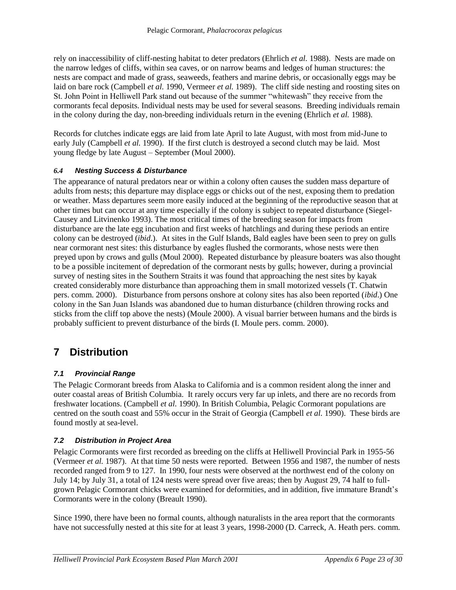rely on inaccessibility of cliff-nesting habitat to deter predators (Ehrlich *et al.* 1988). Nests are made on the narrow ledges of cliffs, within sea caves, or on narrow beams and ledges of human structures: the nests are compact and made of grass, seaweeds, feathers and marine debris, or occasionally eggs may be laid on bare rock (Campbell *et al.* 1990, Vermeer *et al.* 1989). The cliff side nesting and roosting sites on St. John Point in Helliwell Park stand out because of the summer "whitewash" they receive from the cormorants fecal deposits. Individual nests may be used for several seasons. Breeding individuals remain in the colony during the day, non-breeding individuals return in the evening (Ehrlich *et al.* 1988).

Records for clutches indicate eggs are laid from late April to late August, with most from mid-June to early July (Campbell *et al.* 1990). If the first clutch is destroyed a second clutch may be laid. Most young fledge by late August – September (Moul 2000).

#### *6.4 Nesting Success & Disturbance*

The appearance of natural predators near or within a colony often causes the sudden mass departure of adults from nests; this departure may displace eggs or chicks out of the nest, exposing them to predation or weather. Mass departures seem more easily induced at the beginning of the reproductive season that at other times but can occur at any time especially if the colony is subject to repeated disturbance (Siegel-Causey and Litvinenko 1993). The most critical times of the breeding season for impacts from disturbance are the late egg incubation and first weeks of hatchlings and during these periods an entire colony can be destroyed (*ibid*.). At sites in the Gulf Islands, Bald eagles have been seen to prey on gulls near cormorant nest sites: this disturbance by eagles flushed the cormorants, whose nests were then preyed upon by crows and gulls (Moul 2000). Repeated disturbance by pleasure boaters was also thought to be a possible incitement of depredation of the cormorant nests by gulls; however, during a provincial survey of nesting sites in the Southern Straits it was found that approaching the nest sites by kayak created considerably more disturbance than approaching them in small motorized vessels (T. Chatwin pers. comm. 2000). Disturbance from persons onshore at colony sites has also been reported (*ibid*.) One colony in the San Juan Islands was abandoned due to human disturbance (children throwing rocks and sticks from the cliff top above the nests) (Moule 2000). A visual barrier between humans and the birds is probably sufficient to prevent disturbance of the birds (I. Moule pers. comm. 2000).

# **7 Distribution**

#### *7.1 Provincial Range*

The Pelagic Cormorant breeds from Alaska to California and is a common resident along the inner and outer coastal areas of British Columbia. It rarely occurs very far up inlets, and there are no records from freshwater locations. (Campbell *et al.* 1990). In British Columbia, Pelagic Cormorant populations are centred on the south coast and 55% occur in the Strait of Georgia (Campbell *et al.* 1990). These birds are found mostly at sea-level.

#### *7.2 Distribution in Project Area*

Pelagic Cormorants were first recorded as breeding on the cliffs at Helliwell Provincial Park in 1955-56 (Vermeer *et al.* 1987). At that time 50 nests were reported. Between 1956 and 1987, the number of nests recorded ranged from 9 to 127. In 1990, four nests were observed at the northwest end of the colony on July 14; by July 31, a total of 124 nests were spread over five areas; then by August 29, 74 half to fullgrown Pelagic Cormorant chicks were examined for deformities, and in addition, five immature Brandt's Cormorants were in the colony (Breault 1990).

Since 1990, there have been no formal counts, although naturalists in the area report that the cormorants have not successfully nested at this site for at least 3 years, 1998-2000 (D. Carreck, A. Heath pers. comm.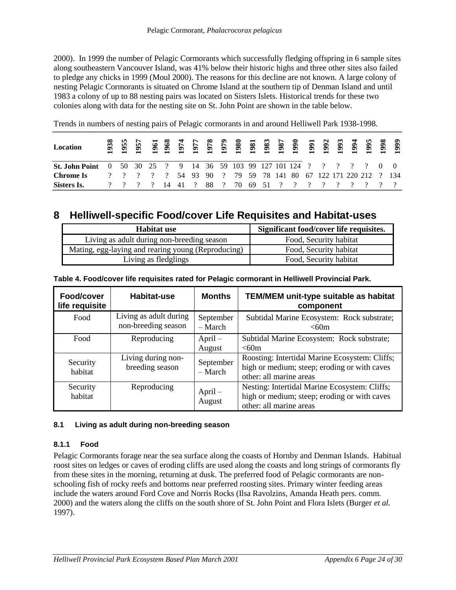2000). In 1999 the number of Pelagic Cormorants which successfully fledging offspring in 6 sample sites along southeastern Vancouver Island, was 41% below their historic highs and three other sites also failed to pledge any chicks in 1999 (Moul 2000). The reasons for this decline are not known. A large colony of nesting Pelagic Cormorants is situated on Chrome Island at the southern tip of Denman Island and until 1983 a colony of up to 88 nesting pairs was located on Sisters Islets. Historical trends for these two colonies along with data for the nesting site on St. John Point are shown in the table below.

Trends in numbers of nesting pairs of Pelagic cormorants in and around Helliwell Park 1938-1998.

| Location                |  |                 |  |      |          |  |  |  |  |                                                          |  |
|-------------------------|--|-----------------|--|------|----------|--|--|--|--|----------------------------------------------------------|--|
| <b>St. John Point</b> 0 |  |                 |  |      |          |  |  |  |  | 50 30 25 ? 9 14 36 59 103 99 127 101 124 ? ? ? ? ? 0 0   |  |
| Chrome Is               |  | ? ? ? ? ? 54 93 |  | -90- | $\sim$ 2 |  |  |  |  | 79 59 78 141 80 67 122 171 220 212 ? 134                 |  |
| Sisters Is.             |  |                 |  |      |          |  |  |  |  | <u>?</u> ? ? ? 14 41 ? 88 ? 70 69 51 ? ? ? ? ? ? ? ? ? ? |  |

### **8 Helliwell-specific Food/cover Life Requisites and Habitat-uses**

| Habitat use                                        | Significant food/cover life requisites. |
|----------------------------------------------------|-----------------------------------------|
| Living as adult during non-breeding season         | Food, Security habitat                  |
| Mating, egg-laying and rearing young (Reproducing) | Food, Security habitat                  |
| Living as fledglings                               | Food, Security habitat                  |

| Food/cover<br>life requisite | Habitat-use                                   | <b>Months</b>          | <b>TEM/MEM unit-type suitable as habitat</b><br>component                                                                 |
|------------------------------|-----------------------------------------------|------------------------|---------------------------------------------------------------------------------------------------------------------------|
| Food                         | Living as adult during<br>non-breeding season | September<br>$-$ March | Subtidal Marine Ecosystem: Rock substrate;<br>< 60m                                                                       |
| Food                         | Reproducing                                   | $April -$<br>August    | Subtidal Marine Ecosystem: Rock substrate;<br>< 60m                                                                       |
| Security<br>habitat          | Living during non-<br>breeding season         | September<br>$-$ March | Roosting: Intertidal Marine Ecosystem: Cliffs;<br>high or medium; steep; eroding or with caves<br>other: all marine areas |
| Security<br>habitat          | Reproducing                                   | $April-$<br>August     | Nesting: Intertidal Marine Ecosystem: Cliffs;<br>high or medium; steep; eroding or with caves<br>other: all marine areas  |

**Table 4. Food/cover life requisites rated for Pelagic cormorant in Helliwell Provincial Park.**

#### **8.1 Living as adult during non-breeding season**

#### **8.1.1 Food**

Pelagic Cormorants forage near the sea surface along the coasts of Hornby and Denman Islands. Habitual roost sites on ledges or caves of eroding cliffs are used along the coasts and long strings of cormorants fly from these sites in the morning, returning at dusk. The preferred food of Pelagic cormorants are nonschooling fish of rocky reefs and bottoms near preferred roosting sites. Primary winter feeding areas include the waters around Ford Cove and Norris Rocks (Ilsa Ravolzins, Amanda Heath pers. comm. 2000) and the waters along the cliffs on the south shore of St. John Point and Flora Islets (Burger *et al.* 1997).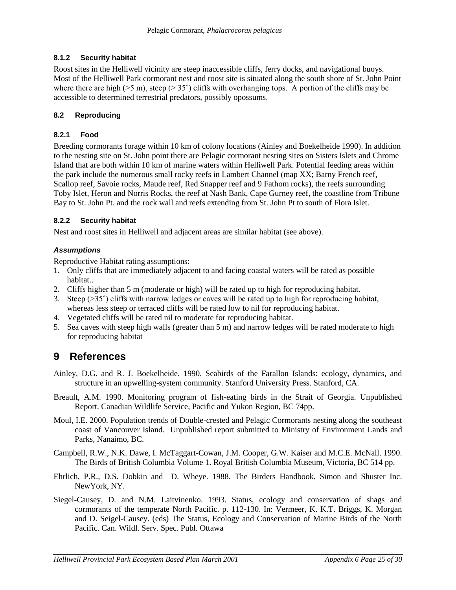#### **8.1.2 Security habitat**

Roost sites in the Helliwell vicinity are steep inaccessible cliffs, ferry docks, and navigational buoys. Most of the Helliwell Park cormorant nest and roost site is situated along the south shore of St. John Point where there are high ( $>5$  m), steep ( $> 35^{\circ}$ ) cliffs with overhanging tops. A portion of the cliffs may be accessible to determined terrestrial predators, possibly opossums.

#### **8.2 Reproducing**

#### **8.2.1 Food**

Breeding cormorants forage within 10 km of colony locations (Ainley and Boekelheide 1990). In addition to the nesting site on St. John point there are Pelagic cormorant nesting sites on Sisters Islets and Chrome Island that are both within 10 km of marine waters within Helliwell Park. Potential feeding areas within the park include the numerous small rocky reefs in Lambert Channel (map XX; Barny French reef, Scallop reef, Savoie rocks, Maude reef, Red Snapper reef and 9 Fathom rocks), the reefs surrounding Toby Islet, Heron and Norris Rocks, the reef at Nash Bank, Cape Gurney reef, the coastline from Tribune Bay to St. John Pt. and the rock wall and reefs extending from St. John Pt to south of Flora Islet.

#### **8.2.2 Security habitat**

Nest and roost sites in Helliwell and adjacent areas are similar habitat (see above).

#### *Assumptions*

Reproductive Habitat rating assumptions:

- 1. Only cliffs that are immediately adjacent to and facing coastal waters will be rated as possible habitat..
- 2. Cliffs higher than 5 m (moderate or high) will be rated up to high for reproducing habitat.
- 3. Steep  $(35°)$  cliffs with narrow ledges or caves will be rated up to high for reproducing habitat, whereas less steep or terraced cliffs will be rated low to nil for reproducing habitat.
- 4. Vegetated cliffs will be rated nil to moderate for reproducing habitat.
- 5. Sea caves with steep high walls (greater than 5 m) and narrow ledges will be rated moderate to high for reproducing habitat

# **9 References**

- Ainley, D.G. and R. J. Boekelheide. 1990. Seabirds of the Farallon Islands: ecology, dynamics, and structure in an upwelling-system community. Stanford University Press. Stanford, CA.
- Breault, A.M. 1990. Monitoring program of fish-eating birds in the Strait of Georgia. Unpublished Report. Canadian Wildlife Service, Pacific and Yukon Region, BC 74pp.
- Moul, I.E. 2000. Population trends of Double-crested and Pelagic Cormorants nesting along the southeast coast of Vancouver Island. Unpublished report submitted to Ministry of Environment Lands and Parks, Nanaimo, BC.
- Campbell, R.W., N.K. Dawe, I. McTaggart-Cowan, J.M. Cooper, G.W. Kaiser and M.C.E. McNall. 1990. The Birds of British Columbia Volume 1. Royal British Columbia Museum, Victoria, BC 514 pp.
- Ehrlich, P.R., D.S. Dobkin and D. Wheye. 1988. The Birders Handbook. Simon and Shuster Inc. NewYork, NY.
- Siegel-Causey, D. and N.M. Laitvinenko. 1993. Status, ecology and conservation of shags and cormorants of the temperate North Pacific. p. 112-130. In: Vermeer, K. K.T. Briggs, K. Morgan and D. Seigel-Causey. (eds) The Status, Ecology and Conservation of Marine Birds of the North Pacific. Can. Wildl. Serv. Spec. Publ. Ottawa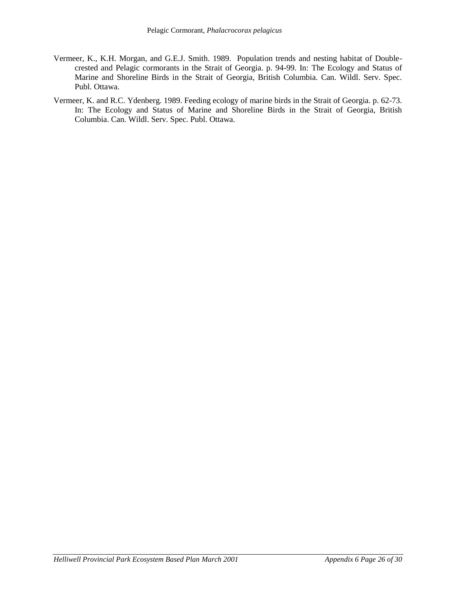- Vermeer, K., K.H. Morgan, and G.E.J. Smith. 1989. Population trends and nesting habitat of Doublecrested and Pelagic cormorants in the Strait of Georgia. p. 94-99. In: The Ecology and Status of Marine and Shoreline Birds in the Strait of Georgia, British Columbia. Can. Wildl. Serv. Spec. Publ. Ottawa.
- Vermeer, K. and R.C. Ydenberg. 1989. Feeding ecology of marine birds in the Strait of Georgia. p. 62-73. In: The Ecology and Status of Marine and Shoreline Birds in the Strait of Georgia, British Columbia. Can. Wildl. Serv. Spec. Publ. Ottawa.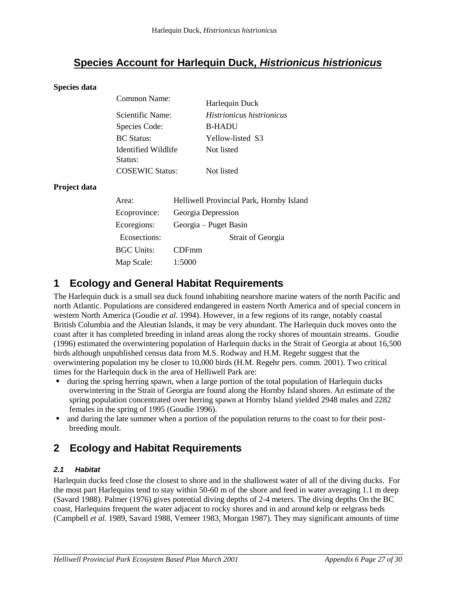# **Species Account for Harlequin Duck,** *Histrionicus histrionicus*

#### **Species data**

| Common Name:                   | Harlequin Duck                   |
|--------------------------------|----------------------------------|
| Scientific Name:               | <i>Histrionicus histrionicus</i> |
| Species Code:                  | <b>B-HADU</b>                    |
| <b>BC</b> Status:              | Yellow-listed S3                 |
| Identified Wildlife<br>Status: | Not listed                       |
| <b>COSEWIC Status:</b>         | Not listed                       |

#### **Project data**

| Area:        | Helliwell Provincial Park, Hornby Island |  |  |  |  |  |  |
|--------------|------------------------------------------|--|--|--|--|--|--|
| Ecoprovince: | Georgia Depression                       |  |  |  |  |  |  |
| Ecoregions:  | Georgia – Puget Basin                    |  |  |  |  |  |  |
| Ecosections: | Strait of Georgia                        |  |  |  |  |  |  |
| BGC Units:   | CDFmm                                    |  |  |  |  |  |  |
| Map Scale:   | 1:5000                                   |  |  |  |  |  |  |

### **1 Ecology and General Habitat Requirements**

The Harlequin duck is a small sea duck found inhabiting nearshore marine waters of the north Pacific and north Atlantic. Populations are considered endangered in eastern North America and of special concern in western North America (Goudie *et al.* 1994). However, in a few regions of its range, notably coastal British Columbia and the Aleutian Islands, it may be very abundant. The Harlequin duck moves onto the coast after it has completed breeding in inland areas along the rocky shores of mountain streams. Goudie (1996) estimated the overwintering population of Harlequin ducks in the Strait of Georgia at about 16,500 birds although unpublished census data from M.S. Rodway and H.M. Regehr suggest that the overwintering population my be closer to 10,000 birds (H.M. Regehr pers. comm. 2001). Two critical times for the Harlequin duck in the area of Helliwell Park are:

- during the spring herring spawn, when a large portion of the total population of Harlequin ducks overwintering in the Strait of Georgia are found along the Hornby Island shores. An estimate of the spring population concentrated over herring spawn at Hornby Island yielded 2948 males and 2282 females in the spring of 1995 (Goudie 1996).
- and during the late summer when a portion of the population returns to the coast to for their postbreeding moult.

# **2 Ecology and Habitat Requirements**

#### *2.1 Habitat*

Harlequin ducks feed close the closest to shore and in the shallowest water of all of the diving ducks. For the most part Harlequins tend to stay within 50-60 m of the shore and feed in water averaging 1.1 m deep (Savard 1988). Palmer (1976) gives potential diving depths of 2-4 meters. The diving depths On the BC coast, Harlequins frequent the water adjacent to rocky shores and in and around kelp or eelgrass beds (Campbell *et al.* 1989, Savard 1988, Vemeer 1983, Morgan 1987). They may significant amounts of time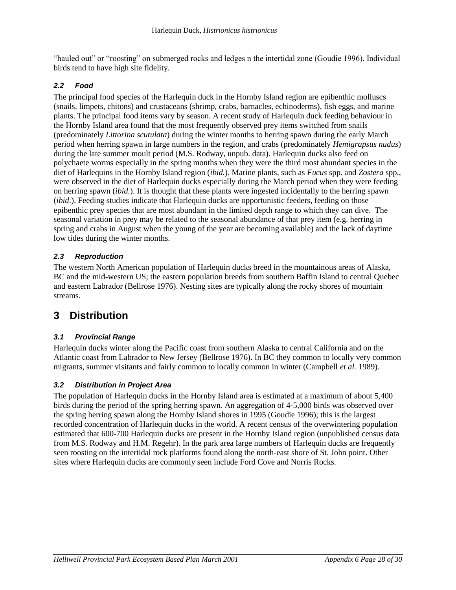"hauled out" or "roosting" on submerged rocks and ledges n the intertidal zone (Goudie 1996). Individual birds tend to have high site fidelity.

#### *2.2 Food*

The principal food species of the Harlequin duck in the Hornby Island region are epibenthic molluscs (snails, limpets, chitons) and crustaceans (shrimp, crabs, barnacles, echinoderms), fish eggs, and marine plants. The principal food items vary by season. A recent study of Harlequin duck feeding behaviour in the Hornby Island area found that the most frequently observed prey items switched from snails (predominately *Littorina scutulata*) during the winter months to herring spawn during the early March period when herring spawn in large numbers in the region, and crabs (predominately *Hemigrapsus nudus*) during the late summer moult period (M.S. Rodway, unpub. data). Harlequin ducks also feed on polychaete worms especially in the spring months when they were the third most abundant species in the diet of Harlequins in the Hornby Island region (*ibid.*). Marine plants, such as *Fucus* spp. and *Zostera* spp., were observed in the diet of Harlequin ducks especially during the March period when they were feeding on herring spawn (*ibid.*). It is thought that these plants were ingested incidentally to the herring spawn (*ibid*.). Feeding studies indicate that Harlequin ducks are opportunistic feeders, feeding on those epibenthic prey species that are most abundant in the limited depth range to which they can dive. The seasonal variation in prey may be related to the seasonal abundance of that prey item (e.g. herring in spring and crabs in August when the young of the year are becoming available) and the lack of daytime low tides during the winter months.

#### *2.3 Reproduction*

The western North American population of Harlequin ducks breed in the mountainous areas of Alaska, BC and the mid-western US; the eastern population breeds from southern Baffin Island to central Quebec and eastern Labrador (Bellrose 1976). Nesting sites are typically along the rocky shores of mountain streams.

# **3 Distribution**

#### *3.1 Provincial Range*

Harlequin ducks winter along the Pacific coast from southern Alaska to central California and on the Atlantic coast from Labrador to New Jersey (Bellrose 1976). In BC they common to locally very common migrants, summer visitants and fairly common to locally common in winter (Campbell *et al.* 1989).

#### *3.2 Distribution in Project Area*

The population of Harlequin ducks in the Hornby Island area is estimated at a maximum of about 5,400 birds during the period of the spring herring spawn. An aggregation of 4-5,000 birds was observed over the spring herring spawn along the Hornby Island shores in 1995 (Goudie 1996); this is the largest recorded concentration of Harlequin ducks in the world. A recent census of the overwintering population estimated that 600-700 Harlequin ducks are present in the Hornby Island region (unpublished census data from M.S. Rodway and H.M. Regehr). In the park area large numbers of Harlequin ducks are frequently seen roosting on the intertidal rock platforms found along the north-east shore of St. John point. Other sites where Harlequin ducks are commonly seen include Ford Cove and Norris Rocks.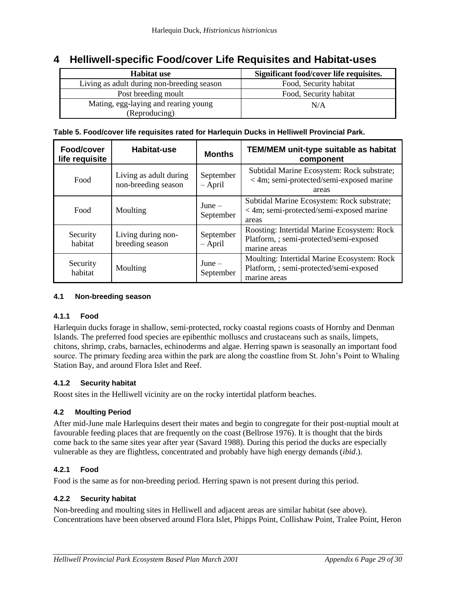### **4 Helliwell-specific Food/cover Life Requisites and Habitat-uses**

| <b>Habitat use</b>                         | Significant food/cover life requisites. |  |  |  |  |
|--------------------------------------------|-----------------------------------------|--|--|--|--|
| Living as adult during non-breeding season | Food, Security habitat                  |  |  |  |  |
| Post breeding moult                        | Food, Security habitat                  |  |  |  |  |
| Mating, egg-laying and rearing young       | N/A                                     |  |  |  |  |
| (Reproducing)                              |                                         |  |  |  |  |

#### **Table 5. Food/cover life requisites rated for Harlequin Ducks in Helliwell Provincial Park.**

| Food/cover<br>life requisite | Habitat-use                                   | <b>Months</b>          | TEM/MEM unit-type suitable as habitat<br>component                                                     |
|------------------------------|-----------------------------------------------|------------------------|--------------------------------------------------------------------------------------------------------|
| Food                         | Living as adult during<br>non-breeding season | September<br>$-$ April | Subtidal Marine Ecosystem: Rock substrate;<br>< 4m; semi-protected/semi-exposed marine<br>areas        |
| Food                         | Moulting                                      | $June -$<br>September  | Subtidal Marine Ecosystem: Rock substrate;<br>< 4m; semi-protected/semi-exposed marine<br>areas        |
| Security<br>habitat          | Living during non-<br>breeding season         | September<br>$-$ April | Roosting: Intertidal Marine Ecosystem: Rock<br>Platform, ; semi-protected/semi-exposed<br>marine areas |
| Security<br>habitat          | Moulting                                      | $June -$<br>September  | Moulting: Intertidal Marine Ecosystem: Rock<br>Platform, ; semi-protected/semi-exposed<br>marine areas |

#### **4.1 Non-breeding season**

#### **4.1.1 Food**

Harlequin ducks forage in shallow, semi-protected, rocky coastal regions coasts of Hornby and Denman Islands. The preferred food species are epibenthic molluscs and crustaceans such as snails, limpets, chitons, shrimp, crabs, barnacles, echinoderms and algae. Herring spawn is seasonally an important food source. The primary feeding area within the park are along the coastline from St. John's Point to Whaling Station Bay, and around Flora Islet and Reef.

#### **4.1.2 Security habitat**

Roost sites in the Helliwell vicinity are on the rocky intertidal platform beaches.

#### **4.2 Moulting Period**

After mid-June male Harlequins desert their mates and begin to congregate for their post-nuptial moult at favourable feeding places that are frequently on the coast (Bellrose 1976). It is thought that the birds come back to the same sites year after year (Savard 1988). During this period the ducks are especially vulnerable as they are flightless, concentrated and probably have high energy demands (*ibid*.).

#### **4.2.1 Food**

Food is the same as for non-breeding period. Herring spawn is not present during this period.

#### **4.2.2 Security habitat**

Non-breeding and moulting sites in Helliwell and adjacent areas are similar habitat (see above). Concentrations have been observed around Flora Islet, Phipps Point, Collishaw Point, Tralee Point, Heron